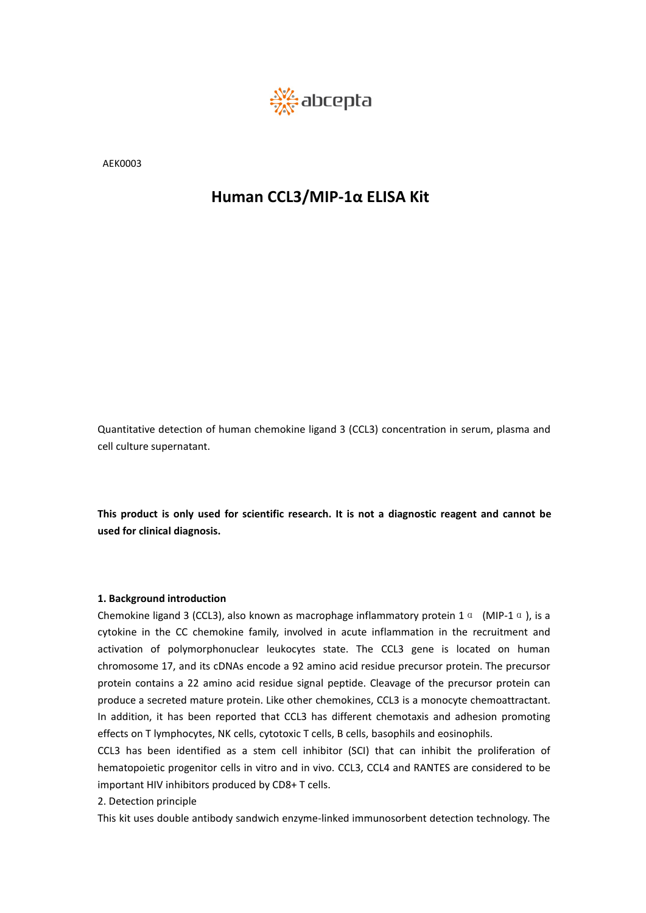

AEK0003

Quantitative detection of human chemokine ligand 3 (CCL3) concentration in serum, plasma and Quantitative detection of human ch<br>cell culture supernatant. Quantitative detection of human chemol<br>cell culture supernatant.<br>This product is only used for scientific<br>used for clinical diagnosis.

Quantitative detection of human chemokine ligand 3 (CCL3) concentration in serum, plasma and cell culture supernatant.<br>This product is only used for scientific research. It is not a diagnostic reagent and cannot be<br>used fo

**1. Background introduct Statemart Constraint Statemart Constraint Constraint**<br> **1. Background introduction**<br> **1. Background introduction**<br> **1. Background introduction**<br> **1. Background introduction**<br> **1. Background introdu** Cell culture superhatant.<br>
This product is only used for scientific research. It is not a diagnostic reagent and cannot be<br>
used for clinical diagnosis.<br>
1. Background introduction<br>
Chemokine ligand 3 (CCL3), also known a This product is only used for scientific research. It is not a diagnostic reagent and cannot be<br>used for clinical diagnosis.<br>
1. Background introduction<br>
Chemokine ligand 3 (CCL3), also known as macrophage inflammatory pr This product is only used for scientific research. It is not a diagnostic reagent and cannot be<br>used for clinical diagnosis.<br>
1. Background introduction<br>
Chemokine ligand 3 (CCL3), also known as macrophage inflammatory pro This product is only used for scientific research. It is not a diagnostic reagent and cannot be<br>used for clinical diagnosis.<br>
1. Background introduction<br>
Chemokine ligand 3 (CCL3), also known as macrophage inflammatory pr Ins product is only used for scientific research. It is not a diagnostic reagent and cannot be<br>used for clinical diagnosis.<br>
1. Background introduction<br>
Chemokine ligand 3 (CCL3), also known as macrophage inflammatory pro **1. Background introduction**<br> **2. Background introduction**<br> **Chemokine ligand 3 (CCL3)**, also known as macrophage inflammatory protein 1  $\alpha$  (MIP-1  $\alpha$ ), is a<br>
cytokine in the CC chemokine family, involved in acute infl **1. Background introduction**<br>Chemokine ligand 3 (CCL3), also known as macrophage inflammatory protein 1  $\alpha$  (MIP-1  $\alpha$ ), is a<br>cytokine in the CC chemokine family, involved in acute inflammation in the recruitment and<br>ac **1. Background introduction**<br>Chemokine ligand 3 (CCL3), also known as macrophage inflammatory protein 1  $\alpha$  (MIP-1  $\alpha$ ), is a<br>cytokine in the CC chemokine family, involved in acute inflammation in the recruitment and<br>ac **1. Background introduction**<br>Chemokine ligand 3 (CCL3), also known as macrophage inflammatory protein 1  $\alpha$  (MIP-1  $\alpha$ ), is a<br>cytokine in the CC chemokine family, involved in acute inflammation in the recruitment and<br>ac **1. Background introduction**<br> **Chemokine ligand 3 (CCL3)**, also known as macrophage inflammation in the recruitment and<br>
cytokine in the CC chemokine family, involved in acute inflammation in the recruitment and<br>
activatio Chemokine ligand 3 (CCL3), also known as macrophage infiammatory<br>cytokine in the CC chemokine family, involved in acute inflammati<br>activation of polymorphonuclear leukocytes state. The CCL3 ge<br>chromosome 17, and its cDNAs cytokine in the CC chemokine family, invo<br>activation of polymorphonuclear leukocyt<br>chromosome 17, and its cDNAs encode a 92<br>protein contains a 22 amino acid residue si<br>produce a secreted mature protein. Like oth<br>In additio activation or polymorphoniclear leukocytes state. The CCLs gene is located on numan<br>chromosome 17, and its cDNAs encode a 92 amino acid residue precursor protein. The precursor<br>produce a secreted mature protein. Like other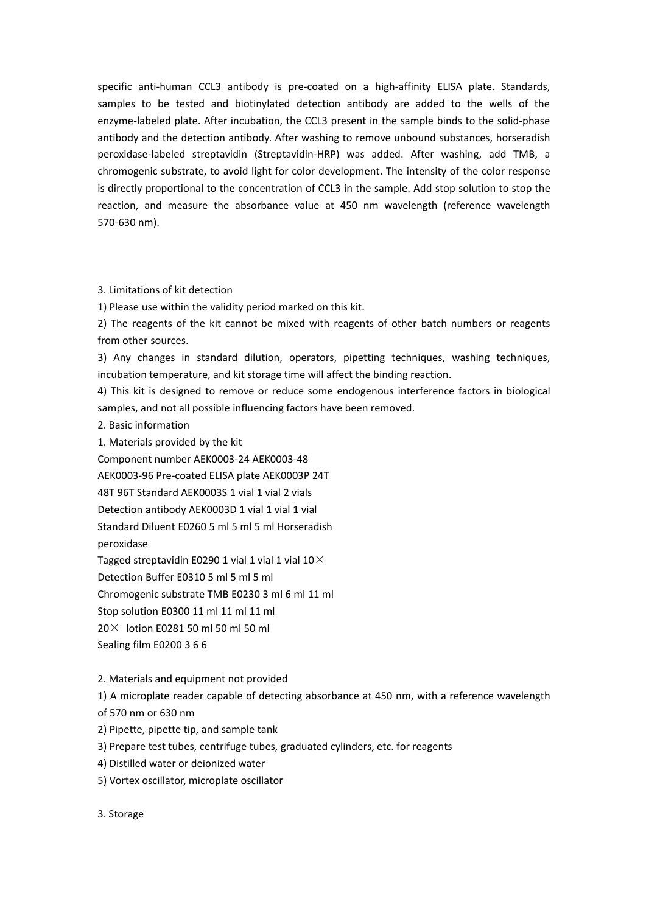specific anti-human CCL3 antibody is pre-coated on a high-affinity ELISA plate. Standards, samples to be tested and biotinylated detection antibody are added to the wells of the enzyme-labeled plate. After incubation, the CCL3 present in the sample binds to the solid-phase antibody and the detection antibody. After washing to remove unbound substances, horseradish peroxidase-labeled streptavidin (Streptavidin-HRP) was added. After washing, add TMB, a chromogenic substrate, to avoid light for color development. The intensity of the color response is directly proportional to the concentration of CCL3 in the sample. Add stop solution to stop the reaction, and measure the absorbance value at 450 nm wavelength (reference wavelength 570-630 nm).

3. Limitations of kit detection

1) Please use within the validity period marked on this kit.

2) The reagents of the kit cannot be mixed with reagents of other batch numbers or reagents from other sources.

3) Any changes in standard dilution, operators, pipetting techniques, washing techniques, incubation temperature, and kit storage time will affect the binding reaction.

4) This kit is designed to remove or reduce some endogenous interference factors in biological samples, and not all possible influencing factors have been removed.

2. Basic information

1. Materials provided by the kit

Component number AEK0003-24 AEK0003-48

AEK0003-96 Pre-coated ELISA plate AEK0003P 24T

48T 96T Standard AEK0003S 1 vial 1 vial 2 vials

Detection antibody AEK0003D 1 vial 1 vial 1 vial

Standard Diluent E0260 5 ml 5 ml 5 ml Horseradish

peroxidase

Tagged streptavidin E0290 1 vial 1 vial 1 vial 10 $\times$ 

Detection Buffer E0310 5 ml 5 ml 5 ml

Chromogenic substrate TMB E0230 3 ml 6 ml 11 ml

Stop solution E0300 11 ml 11 ml 11 ml

 $20 \times$  lotion E0281 50 ml 50 ml 50 ml

Sealing film E0200 3 6 6

# 2. Materials and equipment not provided

1) A microplate reader capable of detecting absorbance at 450 nm, with a reference wavelength

of 570 nm or 630 nm

- 2) Pipette, pipette tip, and sample tank
- 3) Prepare test tubes, centrifuge tubes, graduated cylinders, etc. for reagents
- 4) Distilled water or deionized water
- 5) Vortex oscillator, microplate oscillator

3. Storage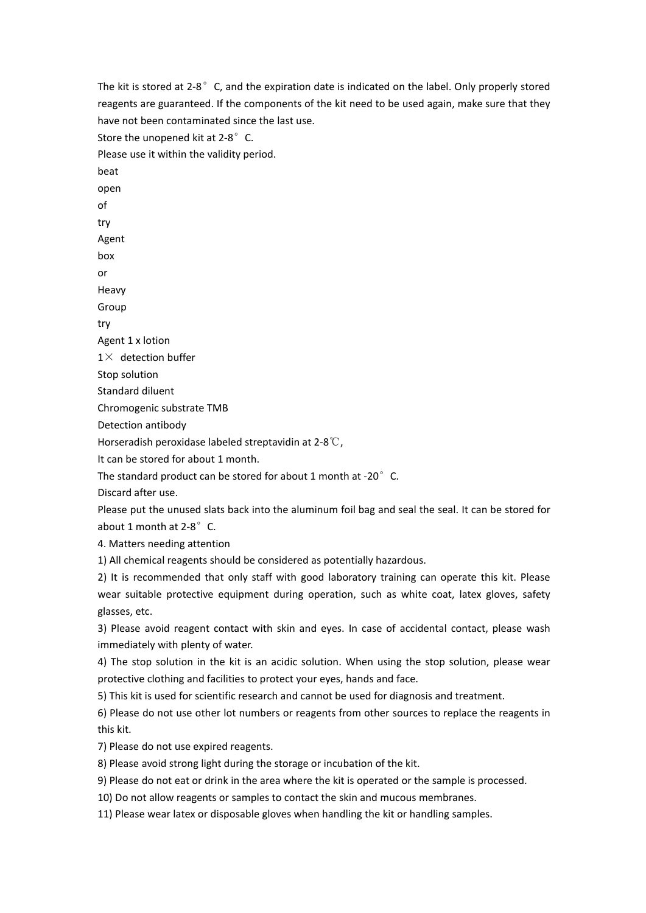The kit is stored at 2-8° C, and the expiration date is indicated on the label. Only properly stored reagents are guaranteed. If the components of the kit need to be used again, make sure that they have not been contaminated since the last use. Store the unopened kit at 2-8°C. Please use it within the validity period. beat open of try Agent box or Heavy Group try Agent 1 x lotion  $1\times$  detection buffer Stop solution Standard diluent Chromogenic substrate TMB Detection antibody Horseradish peroxidase labeled streptavidin at 2-8℃, It can be stored for about 1 month. The standard product can be stored for about 1 month at -20 $^{\circ}$  C. Discard after use. Please put the unused slats back into the aluminum foil bag and seal the seal. It can be stored for about 1 month at 2-8°C. 4. Matters needing attention 1) All chemical reagents should be considered as potentially hazardous. 2) It is recommended that only staff with good laboratory training can operate this kit. Please wear suitable protective equipment during operation, such as white coat, latex gloves, safety glasses, etc. 3) Please avoid reagent contact with skin and eyes. In case of accidental contact, please wash immediately with plenty of water.<br>4) The stop solution in the kit is an acidic solution. When using the stop solution, please wear protective clothing and facilities to protect your eyes, hands and face. 5) This kit is used for scientific research and cannot be used for diagnosis and treatment. 6) Please do not use other lot numbers or reagents from other sources to replace the reagents in this kit. 7) Please do not use expired reagents. 8) Please avoid strong light during the storage or incubation of the kit. 9) Please do not eat or drink in the area where the kit is operated or the sample is processed. 10) Do not allow reagents or samples to contact the skin and mucous membranes.

11) Please wear latex or disposable gloves when handling the kit or handling samples.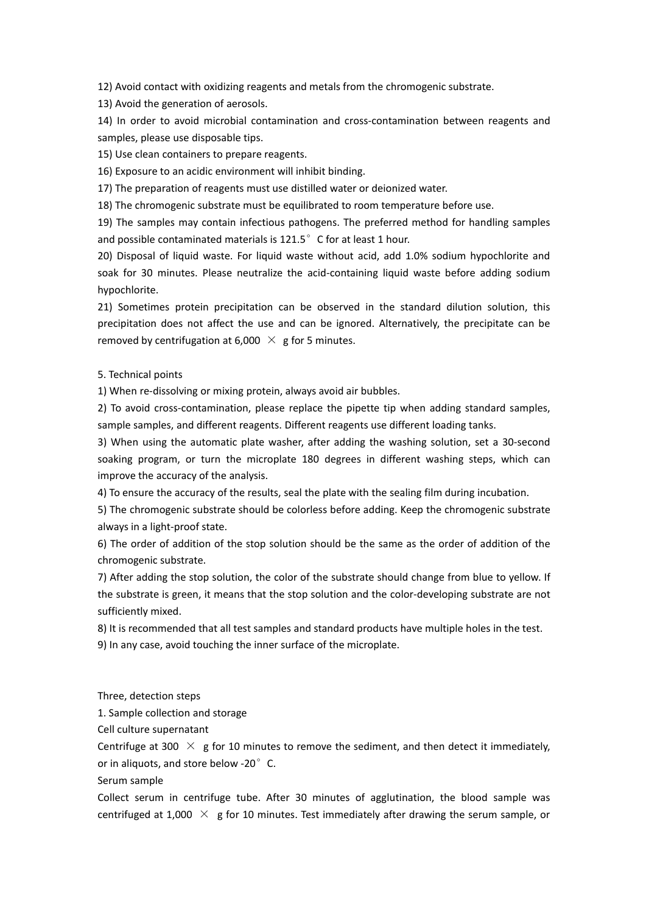12) Avoid contact with oxidizing reagents and metals from the chromogenicsubstrate.

13) Avoid the generation of aerosols.

14) In order to avoid microbial contamination and cross-contamination between reagents and samples, please use disposable tips.

15) Use clean containers to prepare reagents.

16) Exposure to an acidic environment will inhibit binding.

17) The preparation of reagents must use distilled water or deionized water.

18) The chromogenic substrate must be equilibrated to room temperature before use.

19) The samples may contain infectious pathogens. The preferred method for handling samples and possible contaminated materials is 121.5°C for at least 1 hour.

20) Disposal of liquid waste. For liquid waste without acid, add 1.0% sodium hypochlorite and soak for 30 minutes. Please neutralize the acid-containing liquid waste before adding sodium hypochlorite.

21) Sometimes protein precipitation can be observed in the standard dilution solution, this precipitation does not affect the use and can be ignored. Alternatively, the precipitate can be removed by centrifugation at 6,000  $\times$  g for 5 minutes.

5. Technical points

1) When re-dissolving or mixing protein, always avoid air bubbles.

2) To avoid cross-contamination, please replace the pipette tip when adding standard samples, sample samples, and different reagents. Different reagents use different loading tanks.

3) When using the automatic plate washer, after adding the washing solution, set a 30-second soaking program, or turn the microplate 180 degrees in different washing steps, which can improve the accuracy of the analysis.

4) To ensure the accuracy of the results, seal the plate with the sealing film during incubation.

5) The chromogenic substrate should be colorless before adding. Keep the chromogenic substrate always in a light-proof state.

6) The order of addition of the stop solution should be the same as the order of addition of the chromogenic substrate.

7) After adding the stop solution, the color of the substrate should change from blue to yellow. If the substrate is green, it means that the stop solution and the color-developing substrate are not sufficiently mixed.

8) It is recommended that all test samples and standard products have multiple holes in the test. 9) In any case, avoid touching the inner surface of the microplate.

Three, detection steps

1. Sample collection and storage

Cell culture supernatant

Centrifuge at 300  $\times$  g for 10 minutes to remove the sediment, and then detect it immediately, or in aliquots, and store below -20° C.

Serum sample

Collect serum in centrifuge tube. After 30 minutes of agglutination, the blood sample was centrifuged at 1,000  $\times$  g for 10 minutes. Test immediately after drawing the serum sample, or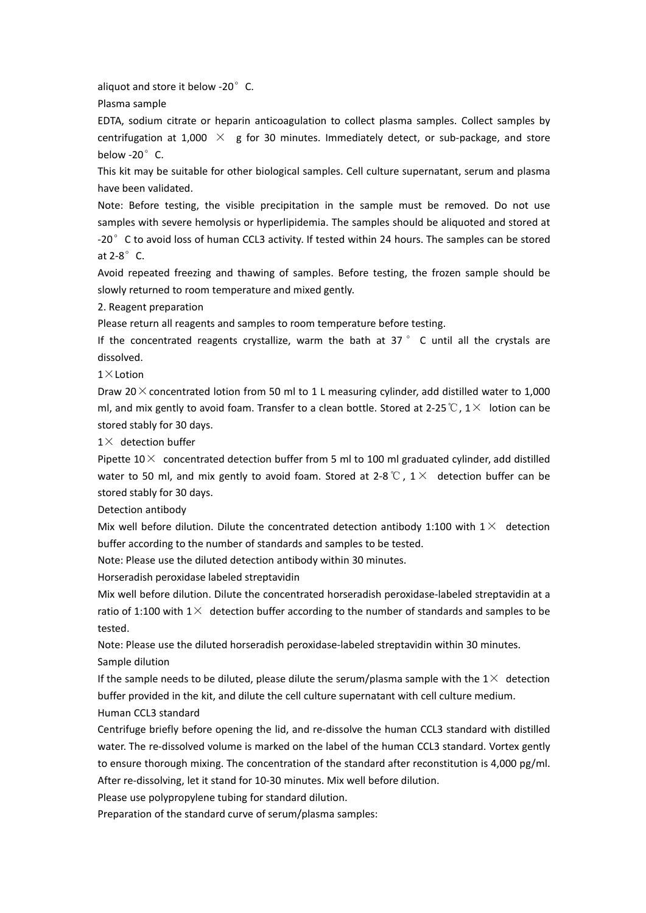aliquot and store it below -20° C.

Plasma sample

EDTA, sodium citrate or heparin anticoagulation to collect plasma samples. Collect samples by centrifugation at 1,000  $\times$  g for 30 minutes. Immediately detect, or sub-package, and store below -20°C.

This kit may be suitable for other biological samples. Cell culture supernatant, serum and plasma have been validated.

Note: Before testing, the visible precipitation in the sample must be removed. Do not use samples with severe hemolysis or hyperlipidemia. The samples should be aliquoted and stored at -20° C to avoid loss of human CCL3 activity. If tested within 24 hours. The samples can be stored at 2-8°C.

Avoid repeated freezing and thawing of samples. Before testing, the frozen sample should be slowly returned to room temperature and mixed gently.

2. Reagent preparation

Please return all reagents and samples to room temperature before testing.

If the concentrated reagents crystallize, warm the bath at 37 ° C until all the crystals are dissolved.

 $1\times$ Lotion

Draw 20 $\times$  concentrated lotion from 50 ml to 1 L measuring cylinder, add distilled water to 1,000 ml, and mix gently to avoid foam. Transfer to a clean bottle. Stored at 2-25 ℃,  $1\times$  lotion can be stored stably for 30 days.

 $1\times$  detection buffer

Pipette  $10\times$  concentrated detection buffer from 5 ml to 100 ml graduated cylinder, add distilled water to 50 ml, and mix gently to avoid foam. Stored at 2-8 ℃,  $1\times$  detection buffer can be stored stably for 30 days.

Detection antibody

Mix well before dilution. Dilute the concentrated detection antibody 1:100 with  $1 \times$  detection buffer according to the number of standards and samples to be tested.

Note: Please use the diluted detection antibody within 30 minutes.

Horseradish peroxidase labeled streptavidin

Mix well before dilution. Dilute the concentrated horseradish peroxidase-labeled streptavidin at a ratio of 1:100 with  $1\times$  detection buffer according to the number of standards and samples to be tested.

Note: Please use the diluted horseradish peroxidase-labeled streptavidin within 30 minutes. Sample dilution

If the sample needs to be diluted, please dilute the serum/plasma sample with the  $1\times$  detection buffer provided in the kit, and dilute the cell culture supernatant with cell culture medium.

Human CCL3 standard

Centrifuge briefly before opening the lid, and re-dissolve the human CCL3 standard with distilled water. The re-dissolved volume is marked on the label of the human CCL3 standard. Vortex gently to ensure thorough mixing. The concentration of the standard after reconstitution is 4,000 pg/ml. After re-dissolving, let it stand for 10-30 minutes. Mix well before dilution.

Please use polypropylene tubing for standard dilution.

Preparation of the standard curve of serum/plasma samples: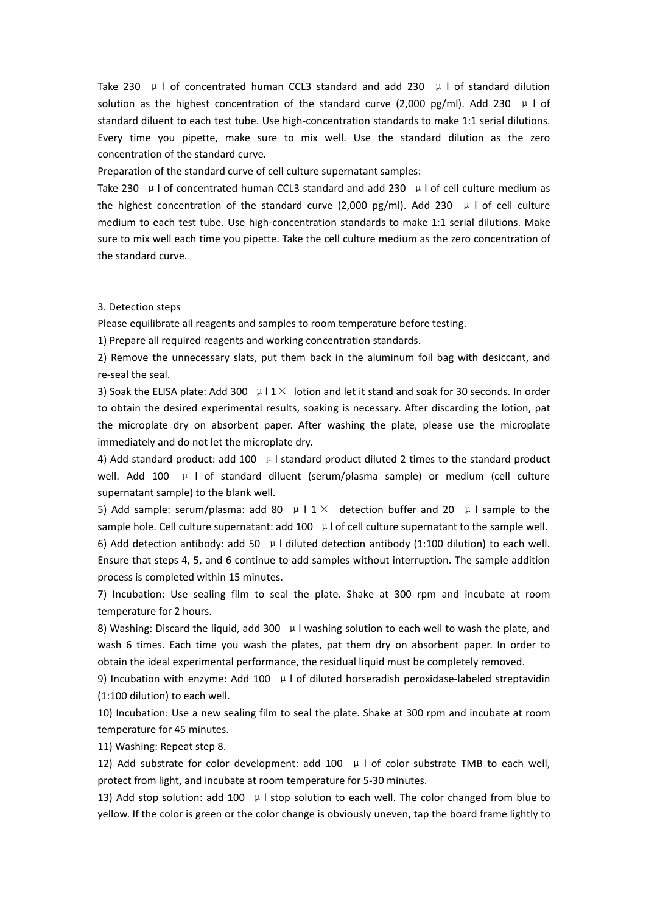Take 230  $\mu$  | of concentrated human CCL3 standard and add 230  $\mu$  | of standard dilution solution as the highest concentration of the standard curve (2,000 pg/ml). Add 230  $\mu$  l of standard diluent to each test tube. Use high-concentration standards to make 1:1 serial dilutions. Every time you pipette, make sure to mix well. Use the standard dilution as the zero concentration of the standard curve.

Preparation of the standard curve of cell culture supernatant samples:

Take 230  $\mu$  I of concentrated human CCL3 standard and add 230  $\mu$  I of cell culture medium as the highest concentration of the standard curve (2,000 pg/ml). Add 230  $\mu$  l of cell culture medium to each test tube. Use high-concentration standards to make 1:1 serial dilutions. Make sure to mix well each time you pipette. Take the cell culture medium as the zero concentration of the standard curve.

### 3. Detection steps

Please equilibrate all reagents and samples to room temperature before testing.

1) Prepare all required reagents and working concentration standards.

2) Remove the unnecessary slats, put them back in the aluminum foil bag with desiccant, and re-seal the seal.

3) Soak the ELISA plate: Add 300  $\mu$  I 1 $\times$  lotion and let it stand and soak for 30 seconds. In order to obtain the desired experimental results, soaking is necessary. After discarding the lotion, pat the microplate dry on absorbent paper. After washing the plate, please use the microplate immediately and do not let the microplate dry.

4) Add standard product: add 100  $\mu$  I standard product diluted 2 times to the standard product well. Add 100  $\mu$  I of standard diluent (serum/plasma sample) or medium (cell culture supernatant sample) to the blank well.

5) Add sample: serum/plasma: add 80  $\mu$  I 1  $\times$  detection buffer and 20  $\mu$  I sample to the sample hole. Cell culture supernatant: add  $100$   $\mu$  l of cell culture supernatant to the sample well. 6) Add detection antibody: add 50  $\mu$  l diluted detection antibody (1:100 dilution) to each well. Ensure that steps 4, 5, and 6 continue to add samples without interruption. The sample addition process is completed within 15 minutes.

7) Incubation: Use sealing film to seal the plate. Shake at 300 rpm and incubate at room temperature for 2 hours.

8) Washing: Discard the liquid, add 300  $\mu$  I washing solution to each well to wash the plate, and wash 6 times. Each time you wash the plates, pat them dry on absorbent paper. In order to obtain the ideal experimental performance, the residual liquid must be completely removed.

9) Incubation with enzyme: Add 100  $\mu$  I of diluted horseradish peroxidase-labeled streptavidin (1:100 dilution) to each well.

10) Incubation: Use a new sealing film to seal the plate. Shake at 300 rpm and incubate at room temperature for 45 minutes.

11) Washing: Repeat step 8.

12) Add substrate for color development: add 100  $\mu$  l of color substrate TMB to each well, protect from light, and incubate at room temperature for 5-30 minutes.

13) Add stop solution: add 100  $\mu$  I stop solution to each well. The color changed from blue to yellow. If the color is green or the color change is obviously uneven, tap the board frame lightly to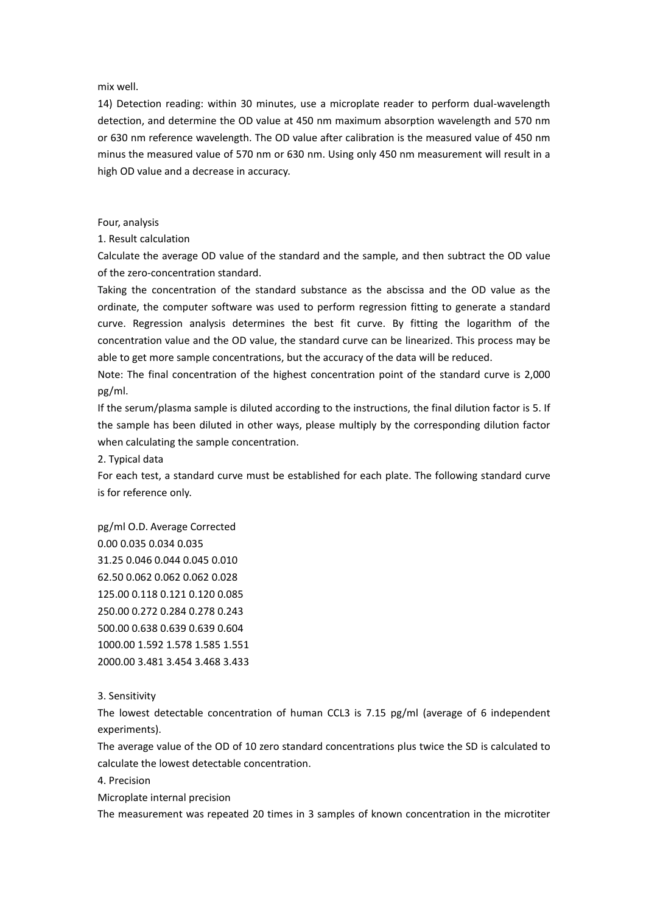mix well.

14) Detection reading: within 30 minutes, use a microplate reader to perform dual-wavelength detection, and determine the OD value at 450 nm maximum absorption wavelength and 570 nm or 630 nm reference wavelength. The OD value after calibration is the measured value of 450 nm minus the measured value of 570 nm or 630 nm. Using only 450 nm measurement will result in a high OD value and a decrease in accuracy.

# Four, analysis

1. Result calculation

Calculate the average OD value of the standard and the sample, and then subtract the OD value of the zero-concentration standard.

Taking the concentration of the standard substance as the abscissa and the OD value as the ordinate, the computer software was used to perform regression fitting to generate a standard curve. Regression analysis determines the best fit curve. By fitting the logarithm of the concentration value and the OD value, the standard curve can be linearized. This process may be able to get more sample concentrations, but the accuracy of the data will be reduced.

Note: The final concentration of the highest concentration point of the standard curve is 2,000 pg/ml.

If the serum/plasma sample is diluted according to the instructions, the final dilution factor is 5.If the sample has been diluted in other ways, please multiply by the corresponding dilution factor when calculating the sample concentration.

2. Typical data

For each test, a standard curve must be established for each plate. The following standard curve is for reference only.

pg/ml O.D. Average Corrected 0.00 0.035 0.034 0.035 31.25 0.046 0.044 0.045 0.010 62.50 0.062 0.062 0.062 0.028 125.00 0.118 0.121 0.120 0.085 250.00 0.272 0.284 0.278 0.243 500.00 0.638 0.639 0.639 0.604 1000.00 1.592 1.578 1.585 1.551 2000.00 3.481 3.454 3.468 3.433

3. Sensitivity

The lowest detectable concentration of human CCL3 is 7.15 pg/ml (average of 6 independent experiments).

The average value of the OD of 10 zero standard concentrations plus twice the SD is calculated to calculate the lowest detectable concentration.

4. Precision

Microplate internal precision

The measurement was repeated 20 times in 3 samples of known concentration in the microtiter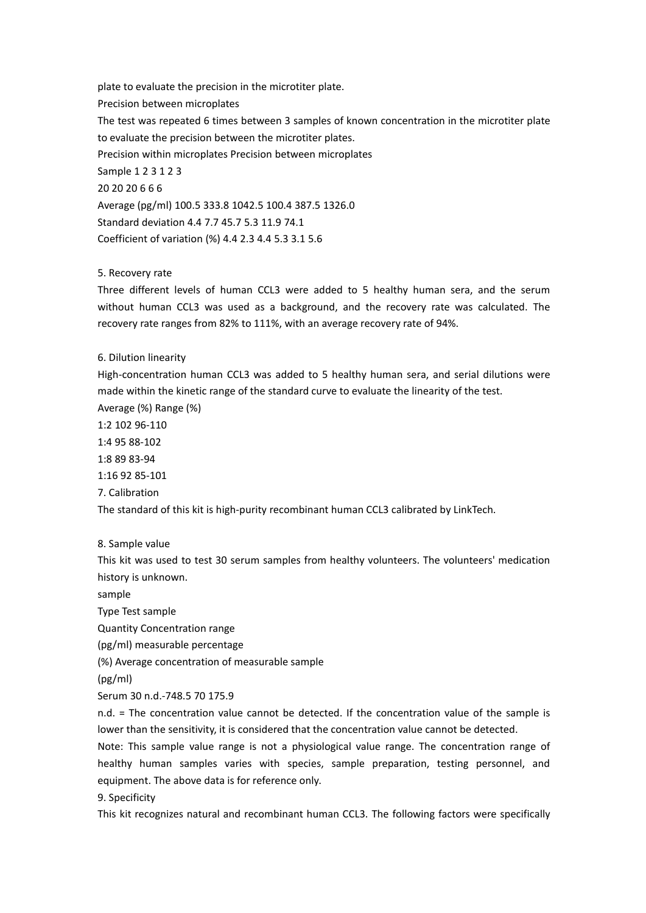plate to evaluate the precision in the microtiter plate. Precision between microplates The test was repeated 6 times between 3 samples of known concentration in the microtiter plate to evaluate the precision between the microtiter plates. Precision within microplates Precision between microplates Sample 1 2 3 1 2 3 20 20 20 6 6 6 Average (pg/ml) 100.5 333.8 1042.5 100.4 387.5 1326.0 Standard deviation 4.4 7.7 45.7 5.3 11.9 74.1 Coefficient of variation (%) 4.4 2.3 4.4 5.3 3.1 5.6

# 5. Recovery rate

Three different levels of human CCL3 were added to 5 healthy human sera, and the serum without human CCL3 was used as a background, and the recovery rate was calculated. The recovery rate ranges from 82% to 111%, with an average recovery rate of 94%.

# 6. Dilution linearity

High-concentration human CCL3 was added to 5 healthy human sera, and serial dilutions were made within the kinetic range of the standard curve to evaluate the linearity of the test.

Average (%) Range (%) 1:2 102 96-110

1:4 95 88-102

1:8 89 83-94

1:16 92 85-101

7. Calibration

The standard of this kit is high-purity recombinant human CCL3 calibrated by LinkTech.<br>8. Sample value

This kit was used to test 30 serum samples from healthy volunteers. The volunteers' medication history is unknown.

sample

Type Test sample

Quantity Concentration range

(pg/ml) measurable percentage

(%) Average concentration of measurable sample

(pg/ml)

Serum 30 n.d.-748.5 70 175.9

 $n.d.$  = The concentration value cannot be detected. If the concentration value of the sample is lower than the sensitivity, it is considered that the concentration value cannot be detected.

Note: This sample value range is not a physiological value range. The concentration range of healthy human samples varies with species, sample preparation, testing personnel, and equipment. The above data is for reference only.

9. Specificity

This kit recognizes natural and recombinant human CCL3. The following factors were specifically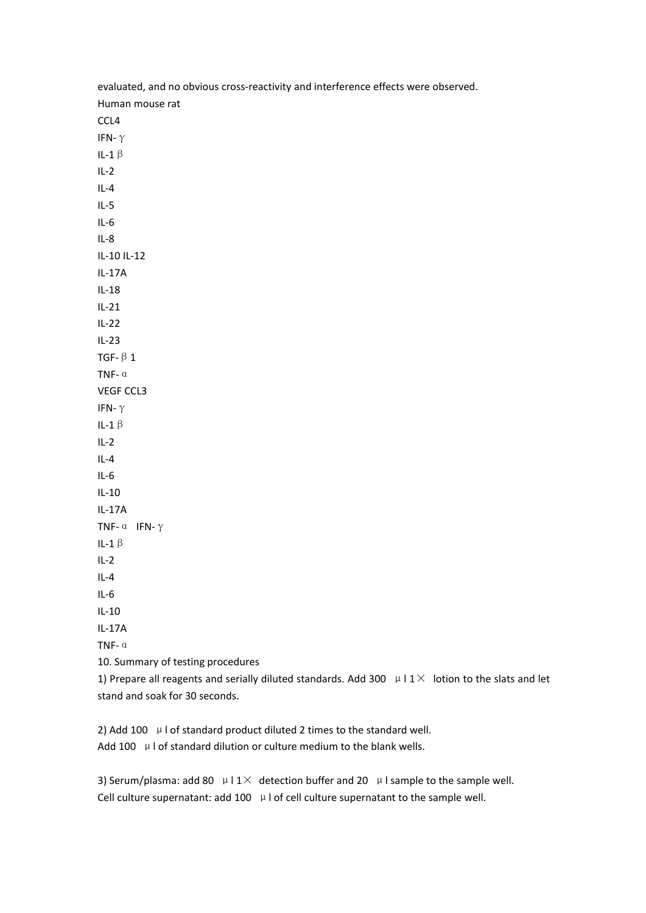| evaluated, and no obvious cross-reactivity and interference effects were observed.                             |
|----------------------------------------------------------------------------------------------------------------|
| Human mouse rat                                                                                                |
| CCL4                                                                                                           |
| IFN- $\gamma$                                                                                                  |
| IL-1 $\upbeta$                                                                                                 |
| $IL-2$                                                                                                         |
| $IL-4$                                                                                                         |
| $IL-5$                                                                                                         |
| $IL-6$                                                                                                         |
| $IL-8$                                                                                                         |
| IL-10 IL-12                                                                                                    |
| $IL-17A$                                                                                                       |
| $IL-18$                                                                                                        |
| $IL-21$                                                                                                        |
| $IL-22$                                                                                                        |
| $IL-23$                                                                                                        |
| TGF- $\beta$ 1                                                                                                 |
| TNF- $\alpha$                                                                                                  |
| VEGF CCL3                                                                                                      |
| IFN- $\gamma$                                                                                                  |
| IL-1 $\beta$                                                                                                   |
| $IL-2$                                                                                                         |
| $IL-4$                                                                                                         |
| $IL-6$                                                                                                         |
| $IL-10$                                                                                                        |
| $IL-17A$                                                                                                       |
| TNF- $\alpha$ IFN- $\gamma$                                                                                    |
| IL-1 $\beta$                                                                                                   |
| $IL-2$                                                                                                         |
| $IL-4$                                                                                                         |
| $IL-6$                                                                                                         |
| $IL-10$                                                                                                        |
| $IL-17A$                                                                                                       |
| TNF- $\alpha$                                                                                                  |
| 10. Summary of testing procedures                                                                              |
| 1) Prepare all reagents and serially diluted standards. Add 300 $\mu$ I 1 $\times$ lotion to the slats and let |

stand and soak for 30 seconds.

2) Add 100 μl of standard product diluted 2 times to the standard well.

Add 100  $\mu$  I of standard dilution or culture medium to the blank wells.

3) Serum/plasma: add 80  $\mu$  I 1 $\times$  detection buffer and 20  $\mu$  I sample to the sample well. Cell culture supernatant: add 100  $\mu$  l of cell culture supernatant to the sample well.